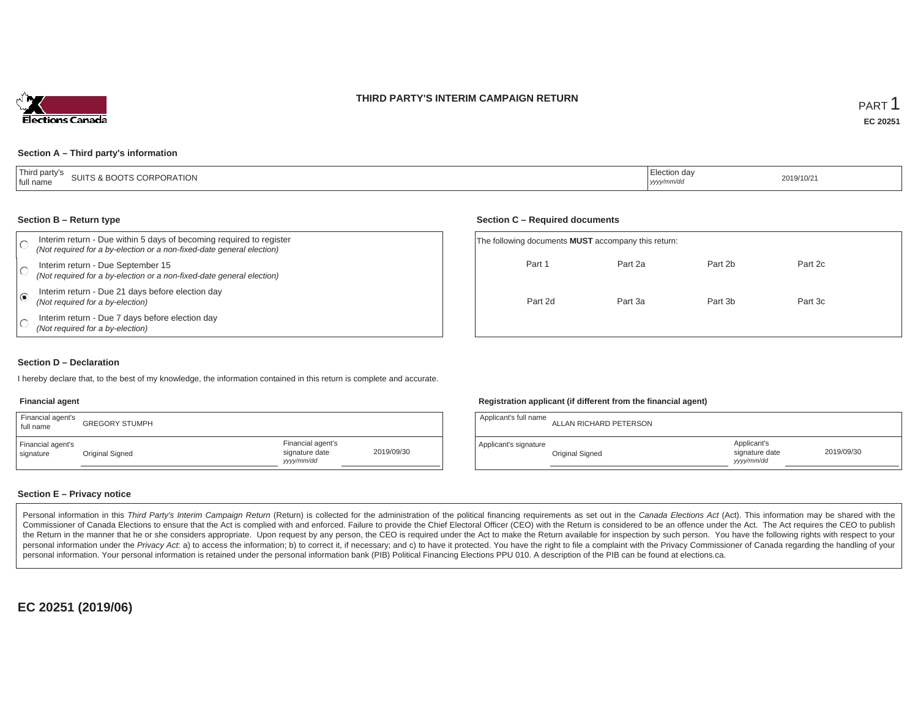### **THIRD PARTY'S INTERIM CAMPAIGN RETURN**



### **Section A – Third party's information**

| $-$<br>hird party's<br>SUITS & BOOTS CORPORATION<br>full name | lection day<br>yyyy/mm/dd | 2019/10/2 |
|---------------------------------------------------------------|---------------------------|-----------|
|---------------------------------------------------------------|---------------------------|-----------|

#### **Section B – Return type**

|   | Interim return - Due within 5 days of becoming required to register<br>(Not required for a by-election or a non-fixed-date general election) | The following documents <b>MUST</b> accompany this return: |         |         |         |  |
|---|----------------------------------------------------------------------------------------------------------------------------------------------|------------------------------------------------------------|---------|---------|---------|--|
|   | Interim return - Due September 15<br>(Not required for a by-election or a non-fixed-date general election)                                   | Part 1                                                     | Part 2a | Part 2b | Part 2c |  |
| ⋒ | Interim return - Due 21 days before election day<br>(Not required for a by-election)                                                         | Part 2d                                                    | Part 3a | Part 3b | Part 3c |  |
|   | Interim return - Due 7 days before election day<br>(Not required for a by-election)                                                          |                                                            |         |         |         |  |

### **Section D – Declaration**

I hereby declare that, to the best of my knowledge, the information contained in this return is complete and accurate.

### **Financial agent**

| Financial agent's<br>full name | <b>GREGORY STUMPH</b> |                                                  |            |
|--------------------------------|-----------------------|--------------------------------------------------|------------|
| Financial agent's<br>signature | Original Signed       | Financial agent's<br>signature date<br>vyy/mm/dd | 2019/09/30 |

### **Registration applicant (if different from the financial agent)**

**Section C – Required documents**

| Applicant's full name | ALLAN RICHARD PETERSON |                                            |            |
|-----------------------|------------------------|--------------------------------------------|------------|
| Applicant's signature | Original Signed        | Applicant's<br>signature date<br>yyy/mm/dd | 2019/09/30 |

### **Section E – Privacy notice**

Personal information in this Third Party's Interim Campaign Return (Return) is collected for the administration of the political financing requirements as set out in the Canada Elections Act (Act). This information may be Commissioner of Canada Elections to ensure that the Act is complied with and enforced. Failure to provide the Chief Electoral Officer (CEO) with the Return is considered to be an offence under the Act. The Act requires the the Return in the manner that he or she considers appropriate. Upon request by any person, the CEO is required under the Act to make the Return available for inspection by such person. You have the following rights with re personal information under the Privacy Act. a) to access the information; b) to correct it, if necessary; and c) to have it protected. You have the right to file a complaint with the Privacy Commissioner of Canada regardin personal information. Your personal information is retained under the personal information bank (PIB) Political Financing Elections PPU 010. A description of the PIB can be found at elections.ca.

**EC 20251 (2019/06)**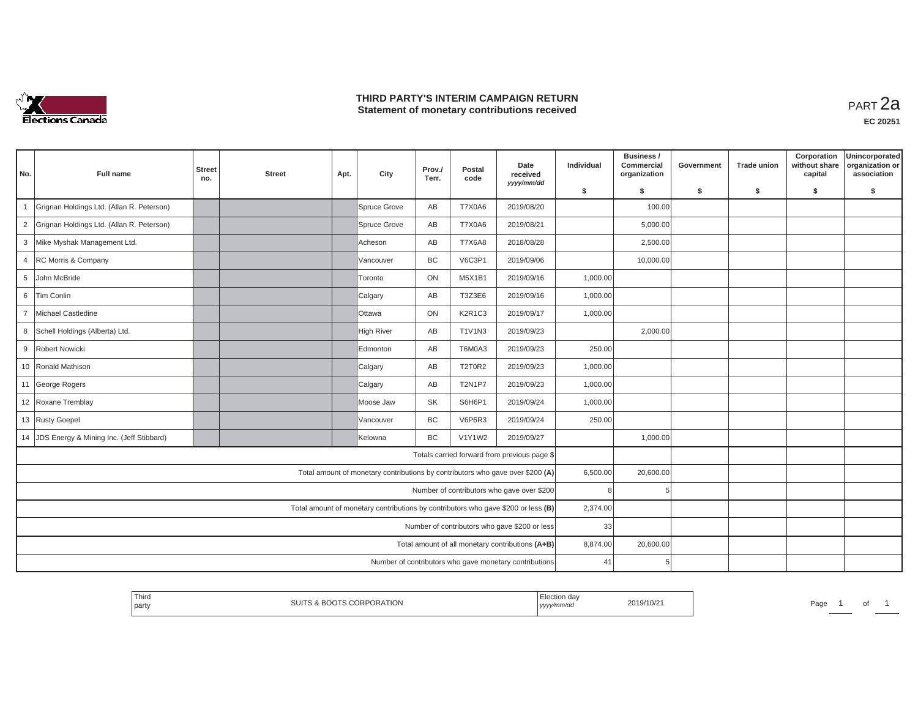

### **THIRD PARTY'S INTERIM CAMPAIGN RETURN THIRD PARTY'S INTERIM CAMPAIGN RETURN<br>Statement of monetary contributions received PART 2a**

| No.            | <b>Full name</b>                            | <b>Street</b> | <b>Street</b> |      | City         | Prov./    | Postal        | Date                                                                              | Individual   | Business /<br>Commercial<br>organization | Government | <b>Trade union</b> | Corporation<br>without share<br>capital | Unincorporated<br>organization or<br>association |
|----------------|---------------------------------------------|---------------|---------------|------|--------------|-----------|---------------|-----------------------------------------------------------------------------------|--------------|------------------------------------------|------------|--------------------|-----------------------------------------|--------------------------------------------------|
|                |                                             | no.           |               | Apt. |              | Terr.     | code          | received<br>yyyy/mm/dd                                                            | \$           | s.                                       | \$         | -S                 | \$                                      | \$                                               |
|                | Grignan Holdings Ltd. (Allan R. Peterson)   |               |               |      | Spruce Grove | AB        | <b>T7X0A6</b> | 2019/08/20                                                                        |              | 100.00                                   |            |                    |                                         |                                                  |
|                |                                             |               |               |      |              |           |               |                                                                                   |              |                                          |            |                    |                                         |                                                  |
| $\overline{2}$ | Grignan Holdings Ltd. (Allan R. Peterson)   |               |               |      | Spruce Grove | AB        | <b>T7X0A6</b> | 2019/08/21                                                                        |              | 5,000.00                                 |            |                    |                                         |                                                  |
| 3              | Mike Myshak Management Ltd.                 |               |               |      | Acheson      | AB        | <b>T7X6A8</b> | 2018/08/28                                                                        |              | 2,500.00                                 |            |                    |                                         |                                                  |
| $\overline{4}$ | RC Morris & Company                         |               |               |      | Vancouver    | BC        | V6C3P1        | 2019/09/06                                                                        |              | 10,000.00                                |            |                    |                                         |                                                  |
| 5              | John McBride                                |               |               |      | Toronto      | <b>ON</b> | <b>M5X1B1</b> | 2019/09/16                                                                        | 1,000.00     |                                          |            |                    |                                         |                                                  |
|                | 6 Tim Conlin                                |               |               |      | Calgary      | AB        | T3Z3E6        | 2019/09/16                                                                        | 1,000.00     |                                          |            |                    |                                         |                                                  |
| $\overline{7}$ | Michael Castledine                          |               |               |      | Ottawa       | ON        | K2R1C3        | 2019/09/17                                                                        | 1,000.00     |                                          |            |                    |                                         |                                                  |
| 8              | Schell Holdings (Alberta) Ltd.              |               |               |      | High River   | AB        | <b>T1V1N3</b> | 2019/09/23                                                                        |              | 2,000.00                                 |            |                    |                                         |                                                  |
| 9              | Robert Nowicki                              |               |               |      | Edmonton     | AB        | T6M0A3        | 2019/09/23                                                                        | 250.00       |                                          |            |                    |                                         |                                                  |
|                | 10 Ronald Mathison                          |               |               |      | Calgary      | AB        | <b>T2T0R2</b> | 2019/09/23                                                                        | 1,000.00     |                                          |            |                    |                                         |                                                  |
|                | 11 George Rogers                            |               |               |      | Calgary      | AB        | <b>T2N1P7</b> | 2019/09/23                                                                        | 1,000.00     |                                          |            |                    |                                         |                                                  |
|                | 12 Roxane Tremblay                          |               |               |      | Moose Jaw    | SK        | S6H6P1        | 2019/09/24                                                                        | 1,000.00     |                                          |            |                    |                                         |                                                  |
|                | 13 Rusty Goepel                             |               |               |      | Vancouver    | BC        | V6P6R3        | 2019/09/24                                                                        | 250.00       |                                          |            |                    |                                         |                                                  |
|                | 14 JDS Energy & Mining Inc. (Jeff Stibbard) |               |               |      | Kelowna      | BC.       | V1Y1W2        | 2019/09/27                                                                        |              | 1,000.00                                 |            |                    |                                         |                                                  |
|                |                                             |               |               |      |              |           |               | Totals carried forward from previous page \$                                      |              |                                          |            |                    |                                         |                                                  |
|                |                                             |               |               |      |              |           |               | Total amount of monetary contributions by contributors who gave over \$200 (A)    | 6,500.00     | 20,600.00                                |            |                    |                                         |                                                  |
|                |                                             |               |               |      |              |           |               | Number of contributors who gave over \$200                                        | $\mathsf{R}$ |                                          |            |                    |                                         |                                                  |
|                |                                             |               |               |      |              |           |               | Total amount of monetary contributions by contributors who gave \$200 or less (B) | 2,374.00     |                                          |            |                    |                                         |                                                  |
|                |                                             |               |               |      |              |           |               | Number of contributors who gave \$200 or less                                     | 33           |                                          |            |                    |                                         |                                                  |
|                |                                             |               |               |      |              |           |               | Total amount of all monetary contributions (A+B)                                  | 8,874.00     | 20,600.00                                |            |                    |                                         |                                                  |
|                |                                             |               |               |      |              |           |               | Number of contributors who gave monetary contributions                            | 41           |                                          |            |                    |                                         |                                                  |

| Third<br>party | ו ש<br>JRP.<br>val IUN<br>ונור | $\sim$ $\sim$ $\sim$<br>2019/10/2<br>'mm/ac<br>,,,,, | Pagu<br>וש |
|----------------|--------------------------------|------------------------------------------------------|------------|
|----------------|--------------------------------|------------------------------------------------------|------------|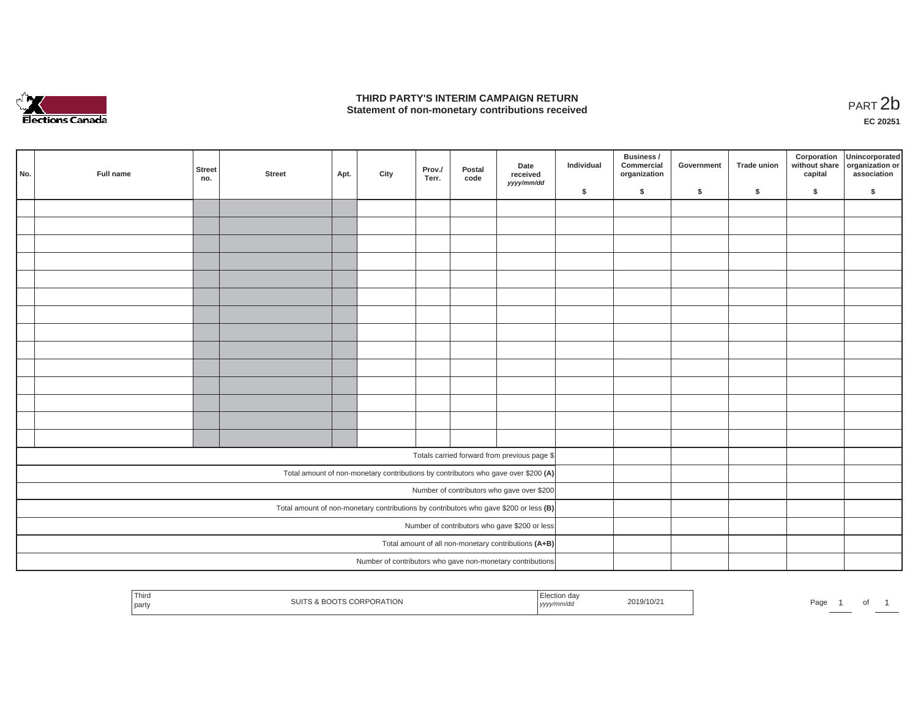

# **THIRD PARTY'S INTERIM CAMPAIGN RETURN**  THIRD PARTY'S INTERIM CAMPAIGN RETURN<br>Statement of non-monetary contributions received<br> **PART 2**b

**EC 20251**

| No. | Full name | Street<br>no. | <b>Street</b> | Apt. | City | Prov./<br>Terr. | Postal<br>code | Date<br>received                                                                      | Individual | Business /<br>Commercial<br>organization | Government | <b>Trade union</b> | Corporation<br>capital | Unincorporated<br>without share organization or<br>association |
|-----|-----------|---------------|---------------|------|------|-----------------|----------------|---------------------------------------------------------------------------------------|------------|------------------------------------------|------------|--------------------|------------------------|----------------------------------------------------------------|
|     |           |               |               |      |      |                 |                | yyyy/mm/dd                                                                            | \$         | \$                                       | \$         | \$                 | \$                     | \$                                                             |
|     |           |               |               |      |      |                 |                |                                                                                       |            |                                          |            |                    |                        |                                                                |
|     |           |               |               |      |      |                 |                |                                                                                       |            |                                          |            |                    |                        |                                                                |
|     |           |               |               |      |      |                 |                |                                                                                       |            |                                          |            |                    |                        |                                                                |
|     |           |               |               |      |      |                 |                |                                                                                       |            |                                          |            |                    |                        |                                                                |
|     |           |               |               |      |      |                 |                |                                                                                       |            |                                          |            |                    |                        |                                                                |
|     |           |               |               |      |      |                 |                |                                                                                       |            |                                          |            |                    |                        |                                                                |
|     |           |               |               |      |      |                 |                |                                                                                       |            |                                          |            |                    |                        |                                                                |
|     |           |               |               |      |      |                 |                |                                                                                       |            |                                          |            |                    |                        |                                                                |
|     |           |               |               |      |      |                 |                |                                                                                       |            |                                          |            |                    |                        |                                                                |
|     |           |               |               |      |      |                 |                |                                                                                       |            |                                          |            |                    |                        |                                                                |
|     |           |               |               |      |      |                 |                |                                                                                       |            |                                          |            |                    |                        |                                                                |
|     |           |               |               |      |      |                 |                |                                                                                       |            |                                          |            |                    |                        |                                                                |
|     |           |               |               |      |      |                 |                |                                                                                       |            |                                          |            |                    |                        |                                                                |
|     |           |               |               |      |      |                 |                |                                                                                       |            |                                          |            |                    |                        |                                                                |
|     |           |               |               |      |      |                 |                | Totals carried forward from previous page \$                                          |            |                                          |            |                    |                        |                                                                |
|     |           |               |               |      |      |                 |                | Total amount of non-monetary contributions by contributors who gave over \$200 (A)    |            |                                          |            |                    |                        |                                                                |
|     |           |               |               |      |      |                 |                | Number of contributors who gave over \$200                                            |            |                                          |            |                    |                        |                                                                |
|     |           |               |               |      |      |                 |                | Total amount of non-monetary contributions by contributors who gave \$200 or less (B) |            |                                          |            |                    |                        |                                                                |
|     |           |               |               |      |      |                 |                | Number of contributors who gave \$200 or less                                         |            |                                          |            |                    |                        |                                                                |
|     |           |               |               |      |      |                 |                | Total amount of all non-monetary contributions (A+B)                                  |            |                                          |            |                    |                        |                                                                |
|     |           |               |               |      |      |                 |                | Number of contributors who gave non-monetary contributions                            |            |                                          |            |                    |                        |                                                                |

| 11111 Q<br>sur'<br>party | PURATION<br>. | ction<br>uu<br>2019/10/2<br>www.<br>, yyyyı |  | محد<br>au' |  | ັບເ |  |
|--------------------------|---------------|---------------------------------------------|--|------------|--|-----|--|
|--------------------------|---------------|---------------------------------------------|--|------------|--|-----|--|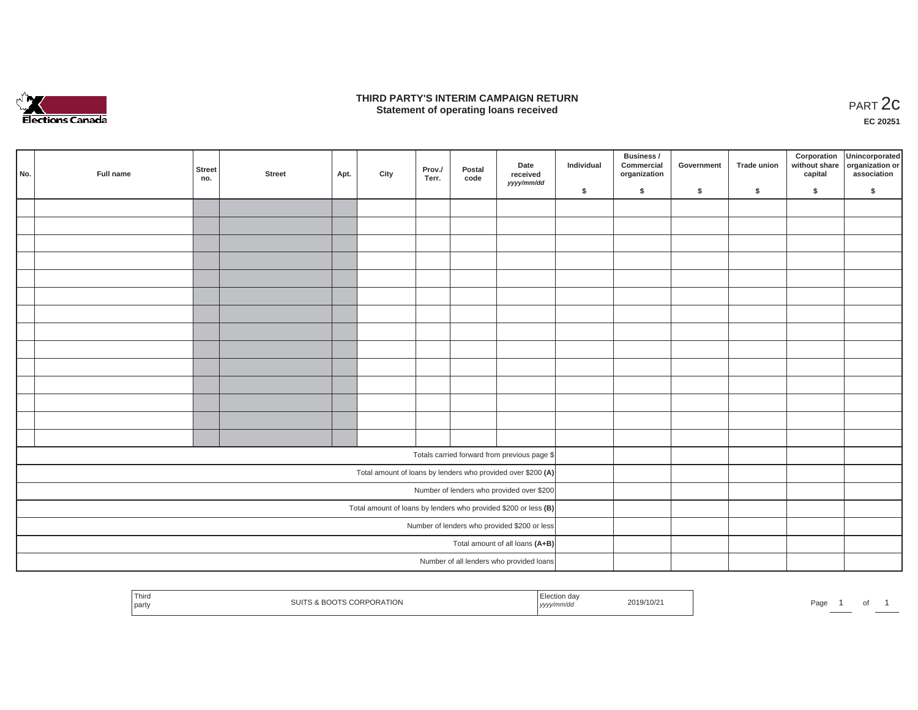

### **THIRD PARTY'S INTERIM CAMPAIGN RETURN**  RD PARTY'S INTERIM CAMPAIGN RETURN<br>Statement of operating loans received **PART 2c**

**EC 20251**

| No.                                                             | Full name | Street<br>no. | <b>Street</b> | Apt. | City | Prov./<br>Terr. | Postal<br>code | Date<br>received<br>yyyy/mm/dd                               | Individual | <b>Business /</b><br>Commercial<br>organization | Government | Trade union | Corporation<br>capital | Unincorporated<br>without share organization or<br>association |
|-----------------------------------------------------------------|-----------|---------------|---------------|------|------|-----------------|----------------|--------------------------------------------------------------|------------|-------------------------------------------------|------------|-------------|------------------------|----------------------------------------------------------------|
|                                                                 |           |               |               |      |      |                 |                |                                                              | \$         | \$                                              | \$         | \$          | \$                     | \$                                                             |
|                                                                 |           |               |               |      |      |                 |                |                                                              |            |                                                 |            |             |                        |                                                                |
|                                                                 |           |               |               |      |      |                 |                |                                                              |            |                                                 |            |             |                        |                                                                |
|                                                                 |           |               |               |      |      |                 |                |                                                              |            |                                                 |            |             |                        |                                                                |
|                                                                 |           |               |               |      |      |                 |                |                                                              |            |                                                 |            |             |                        |                                                                |
|                                                                 |           |               |               |      |      |                 |                |                                                              |            |                                                 |            |             |                        |                                                                |
|                                                                 |           |               |               |      |      |                 |                |                                                              |            |                                                 |            |             |                        |                                                                |
|                                                                 |           |               |               |      |      |                 |                |                                                              |            |                                                 |            |             |                        |                                                                |
|                                                                 |           |               |               |      |      |                 |                |                                                              |            |                                                 |            |             |                        |                                                                |
|                                                                 |           |               |               |      |      |                 |                |                                                              |            |                                                 |            |             |                        |                                                                |
|                                                                 |           |               |               |      |      |                 |                |                                                              |            |                                                 |            |             |                        |                                                                |
|                                                                 |           |               |               |      |      |                 |                |                                                              |            |                                                 |            |             |                        |                                                                |
|                                                                 |           |               |               |      |      |                 |                |                                                              |            |                                                 |            |             |                        |                                                                |
|                                                                 |           |               |               |      |      |                 |                |                                                              |            |                                                 |            |             |                        |                                                                |
|                                                                 |           |               |               |      |      |                 |                |                                                              |            |                                                 |            |             |                        |                                                                |
|                                                                 |           |               |               |      |      |                 |                |                                                              |            |                                                 |            |             |                        |                                                                |
|                                                                 |           |               |               |      |      |                 |                | Totals carried forward from previous page \$                 |            |                                                 |            |             |                        |                                                                |
|                                                                 |           |               |               |      |      |                 |                | Total amount of loans by lenders who provided over \$200 (A) |            |                                                 |            |             |                        |                                                                |
| Number of lenders who provided over \$200                       |           |               |               |      |      |                 |                |                                                              |            |                                                 |            |             |                        |                                                                |
| Total amount of loans by lenders who provided \$200 or less (B) |           |               |               |      |      |                 |                |                                                              |            |                                                 |            |             |                        |                                                                |
| Number of lenders who provided \$200 or less                    |           |               |               |      |      |                 |                |                                                              |            |                                                 |            |             |                        |                                                                |
|                                                                 |           |               |               |      |      |                 |                | Total amount of all loans (A+B)                              |            |                                                 |            |             |                        |                                                                |
|                                                                 |           |               |               |      |      |                 |                | Number of all lenders who provided loans                     |            |                                                 |            |             |                        |                                                                |
|                                                                 |           |               |               |      |      |                 |                |                                                              |            |                                                 |            |             |                        |                                                                |

| Third<br>party | <b>CORPORATION</b><br>BOOTS L<br>SUIT<br>$5 \times$ $50$ | ction dav<br>mm/ac<br>נעצען | 2019/10/2<br>the contract of the contract of the contract of | Page | $\cdot$ |
|----------------|----------------------------------------------------------|-----------------------------|--------------------------------------------------------------|------|---------|
|                |                                                          |                             |                                                              |      |         |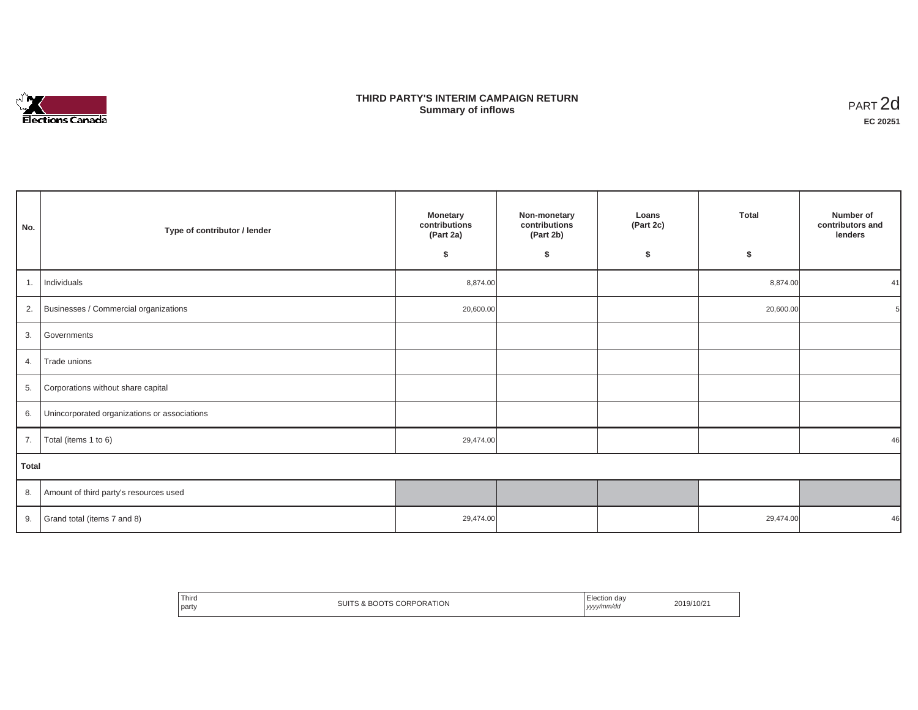

# **THIRD PARTY'S INTERIM CAMPAIGN RETURN SUMMARY STATE SUMMARY OF A SUMMARY OF A SUMMARY OF A SUMMARY OF A SUMMARY OF A SUMMARY OF A SUMMARY OF A SUMMA**<br> **Summary of inflows**

| No.   | Type of contributor / lender                    | <b>Monetary</b><br>contributions<br>(Part 2a)<br>\$ | Non-monetary<br>contributions<br>(Part 2b)<br>\$ | Loans<br>(Part 2c)<br>S. | <b>Total</b><br>\$ | Number of<br>contributors and<br>lenders |
|-------|-------------------------------------------------|-----------------------------------------------------|--------------------------------------------------|--------------------------|--------------------|------------------------------------------|
| 1.    | Individuals                                     | 8,874.00                                            |                                                  |                          | 8,874.00           | 41                                       |
|       | 2. Businesses / Commercial organizations        | 20,600.00                                           |                                                  |                          | 20,600.00          |                                          |
|       | 3. Governments                                  |                                                     |                                                  |                          |                    |                                          |
| 4.    | Trade unions                                    |                                                     |                                                  |                          |                    |                                          |
|       | 5. Corporations without share capital           |                                                     |                                                  |                          |                    |                                          |
|       | 6. Unincorporated organizations or associations |                                                     |                                                  |                          |                    |                                          |
| 7.    | Total (items 1 to 6)                            | 29,474.00                                           |                                                  |                          |                    | 46                                       |
| Total |                                                 |                                                     |                                                  |                          |                    |                                          |
|       | 8. Amount of third party's resources used       |                                                     |                                                  |                          |                    |                                          |
|       | 9. Grand total (items $7$ and $8$ )             | 29,474.00                                           |                                                  |                          | 29,474.00          | 46                                       |

| Third<br>8 BOOTS CORP<br>PORATION<br>SUIT<br>the contract of the contract of<br>party | Election dav<br>yyyy/mm/dd<br>. | 2019/10/21 |
|---------------------------------------------------------------------------------------|---------------------------------|------------|
|---------------------------------------------------------------------------------------|---------------------------------|------------|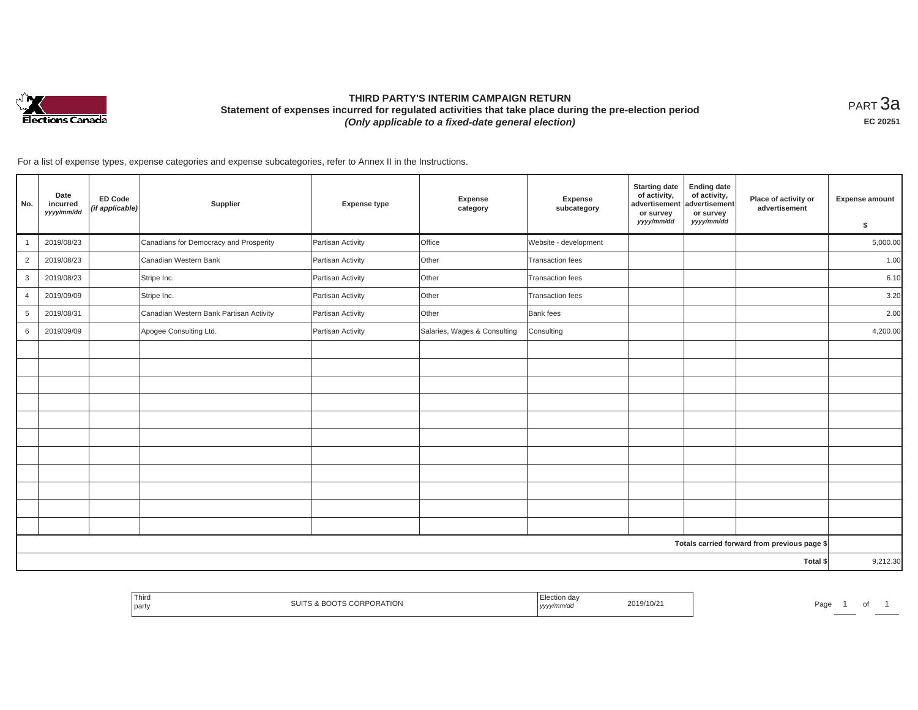

# **THIRD PARTY'S INTERIM CAMPAIGN RETURN Statement of expenses incurred for regulated activities that take place during the pre-election period**  *(Only applicable to a fixed-date general election)*

<code>PART $3$ a</code> **EC 20251**

For a list of expense types, expense categories and expense subcategories, refer to Annex II in the Instructions.

| No.            | Date<br>incurred<br>yyyy/mm/dd | <b>ED Code</b><br>(if applicable) | Supplier                                | <b>Expense type</b> | Expense<br>category          | Expense<br>subcategory | <b>Starting date</b><br>of activity,<br>advertisement<br>or survey<br>yyyy/mm/dd | <b>Ending date</b><br>of activity,<br>advertisement<br>or survey<br>yyyy/mm/dd | Place of activity or<br>advertisement        | <b>Expense amount</b><br>\$ |
|----------------|--------------------------------|-----------------------------------|-----------------------------------------|---------------------|------------------------------|------------------------|----------------------------------------------------------------------------------|--------------------------------------------------------------------------------|----------------------------------------------|-----------------------------|
|                | 2019/08/23                     |                                   | Canadians for Democracy and Prosperity  | Partisan Activity   | Office                       | Website - development  |                                                                                  |                                                                                |                                              | 5,000.00                    |
| $\overline{2}$ | 2019/08/23                     |                                   | Canadian Western Bank                   | Partisan Activity   | Other                        | Transaction fees       |                                                                                  |                                                                                |                                              | 1.00                        |
| $\mathbf{3}$   | 2019/08/23                     |                                   | Stripe Inc.                             | Partisan Activity   | Other                        | Transaction fees       |                                                                                  |                                                                                |                                              | 6.10                        |
| $\overline{4}$ | 2019/09/09                     |                                   | Stripe Inc.                             | Partisan Activity   | Other                        | Transaction fees       |                                                                                  |                                                                                |                                              | 3.20                        |
| $\overline{5}$ | 2019/08/31                     |                                   | Canadian Western Bank Partisan Activity | Partisan Activity   | Other                        | <b>Bank</b> fees       |                                                                                  |                                                                                |                                              | 2.00                        |
| 6              | 2019/09/09                     |                                   | Apogee Consulting Ltd.                  | Partisan Activity   | Salaries, Wages & Consulting | Consulting             |                                                                                  |                                                                                |                                              | 4,200.00                    |
|                |                                |                                   |                                         |                     |                              |                        |                                                                                  |                                                                                |                                              |                             |
|                |                                |                                   |                                         |                     |                              |                        |                                                                                  |                                                                                |                                              |                             |
|                |                                |                                   |                                         |                     |                              |                        |                                                                                  |                                                                                |                                              |                             |
|                |                                |                                   |                                         |                     |                              |                        |                                                                                  |                                                                                |                                              |                             |
|                |                                |                                   |                                         |                     |                              |                        |                                                                                  |                                                                                |                                              |                             |
|                |                                |                                   |                                         |                     |                              |                        |                                                                                  |                                                                                |                                              |                             |
|                |                                |                                   |                                         |                     |                              |                        |                                                                                  |                                                                                |                                              |                             |
|                |                                |                                   |                                         |                     |                              |                        |                                                                                  |                                                                                |                                              |                             |
|                |                                |                                   |                                         |                     |                              |                        |                                                                                  |                                                                                |                                              |                             |
|                |                                |                                   |                                         |                     |                              |                        |                                                                                  |                                                                                |                                              |                             |
|                |                                |                                   |                                         |                     |                              |                        |                                                                                  |                                                                                |                                              |                             |
|                |                                |                                   |                                         |                     |                              |                        |                                                                                  |                                                                                | Totals carried forward from previous page \$ |                             |
|                |                                |                                   |                                         |                     |                              |                        |                                                                                  |                                                                                | Total \$                                     | 9,212.30                    |

| 1 nirc<br>ATION<br>ORA'<br><b>UURF</b><br>party | 2019/10/2<br> | age '<br>$\cdot$ |
|-------------------------------------------------|---------------|------------------|
|-------------------------------------------------|---------------|------------------|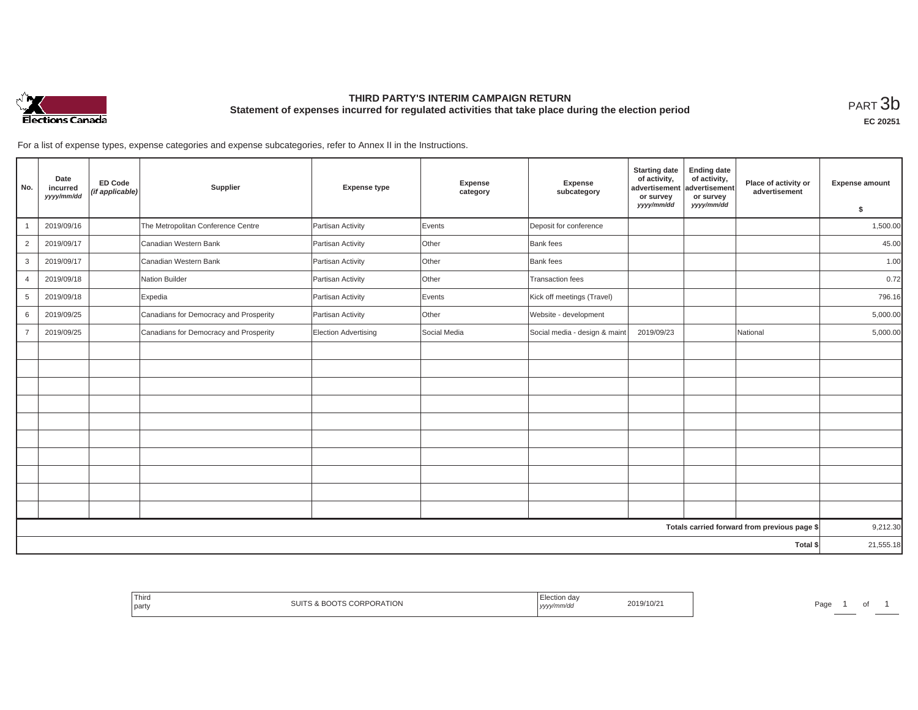

# **THIRD PARTY'S INTERIM CAMPAIGN RETURN Statement of expenses incurred for regulated activities that take place during the election period**<br>РАRТ  $3\mathrm{b}$

**EC 20251**

For a list of expense types, expense categories and expense subcategories, refer to Annex II in the Instructions.

| No.                                          | Date<br>incurred<br>yyyy/mm/dd | <b>ED Code</b><br>(if applicable) | Supplier                               | <b>Expense type</b>  | <b>Expense</b><br>category | Expense<br>subcategory        | <b>Starting date</b><br>of activity,<br>advertisement<br>or survey<br>yyyy/mm/dd | <b>Ending date</b><br>of activity,<br>advertisement<br>or survey<br>yyyy/mm/dd | Place of activity or<br>advertisement | <b>Expense amount</b><br>\$ |
|----------------------------------------------|--------------------------------|-----------------------------------|----------------------------------------|----------------------|----------------------------|-------------------------------|----------------------------------------------------------------------------------|--------------------------------------------------------------------------------|---------------------------------------|-----------------------------|
|                                              | 2019/09/16                     |                                   | The Metropolitan Conference Centre     | Partisan Activity    | Events                     | Deposit for conference        |                                                                                  |                                                                                |                                       | 1,500.00                    |
| $\overline{2}$                               | 2019/09/17                     |                                   | Canadian Western Bank                  | Partisan Activity    | Other                      | Bank fees                     |                                                                                  |                                                                                |                                       | 45.00                       |
| 3                                            | 2019/09/17                     |                                   | Canadian Western Bank                  | Partisan Activity    | Other                      | <b>Bank</b> fees              |                                                                                  |                                                                                |                                       | 1.00                        |
| $\overline{4}$                               | 2019/09/18                     |                                   | Nation Builder                         | Partisan Activity    | Other                      | Transaction fees              |                                                                                  |                                                                                |                                       | 0.72                        |
| $\overline{5}$                               | 2019/09/18                     |                                   | Expedia                                | Partisan Activity    | Events                     | Kick off meetings (Travel)    |                                                                                  |                                                                                |                                       | 796.16                      |
| 6                                            | 2019/09/25                     |                                   | Canadians for Democracy and Prosperity | Partisan Activity    | Other                      | Website - development         |                                                                                  |                                                                                |                                       | 5,000.00                    |
| $\overline{7}$                               | 2019/09/25                     |                                   | Canadians for Democracy and Prosperity | Election Advertising | Social Media               | Social media - design & maint | 2019/09/23                                                                       |                                                                                | National                              | 5,000.00                    |
|                                              |                                |                                   |                                        |                      |                            |                               |                                                                                  |                                                                                |                                       |                             |
|                                              |                                |                                   |                                        |                      |                            |                               |                                                                                  |                                                                                |                                       |                             |
|                                              |                                |                                   |                                        |                      |                            |                               |                                                                                  |                                                                                |                                       |                             |
|                                              |                                |                                   |                                        |                      |                            |                               |                                                                                  |                                                                                |                                       |                             |
|                                              |                                |                                   |                                        |                      |                            |                               |                                                                                  |                                                                                |                                       |                             |
|                                              |                                |                                   |                                        |                      |                            |                               |                                                                                  |                                                                                |                                       |                             |
|                                              |                                |                                   |                                        |                      |                            |                               |                                                                                  |                                                                                |                                       |                             |
|                                              |                                |                                   |                                        |                      |                            |                               |                                                                                  |                                                                                |                                       |                             |
|                                              |                                |                                   |                                        |                      |                            |                               |                                                                                  |                                                                                |                                       |                             |
|                                              |                                |                                   |                                        |                      |                            |                               |                                                                                  |                                                                                |                                       |                             |
| Totals carried forward from previous page \$ |                                |                                   |                                        |                      |                            |                               | 9,212.30                                                                         |                                                                                |                                       |                             |
| Total \$                                     |                                |                                   |                                        |                      |                            |                               | 21,555.18                                                                        |                                                                                |                                       |                             |

| <b>Third</b><br>JRATION<br>party<br>, , , , , , , , , | Page |
|-------------------------------------------------------|------|
|-------------------------------------------------------|------|